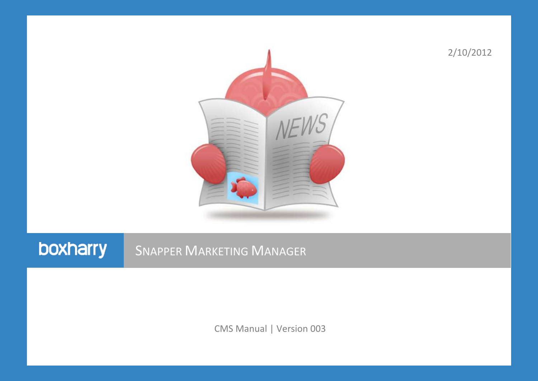

2/10/2012

# boxharry

## **SNAPPER MARKETING MANAGER**

CMS Manual | Version 003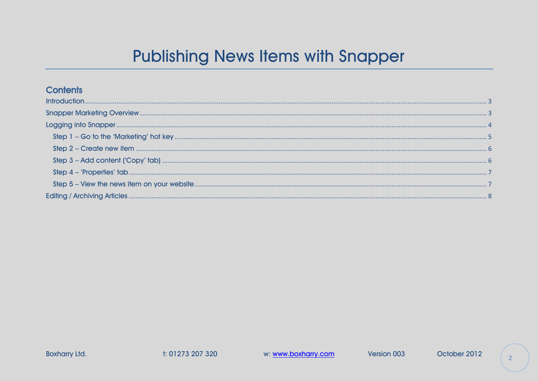# **Publishing News Items with Snapper**

#### **Contents**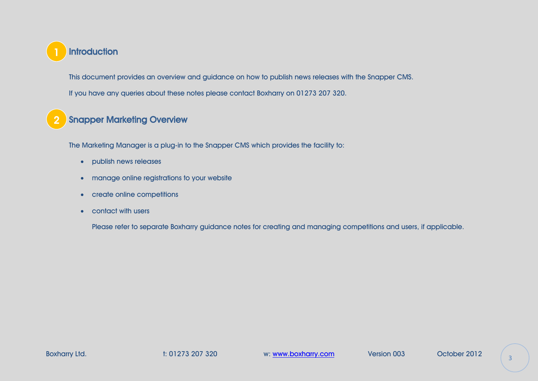<span id="page-2-0"></span>

This document provides an overview and guidance on how to publish news releases with the Snapper CMS. If you have any queries about these notes please contact Boxharry on 01273 207 320.

#### <span id="page-2-1"></span>Snapper Marketing Overview 2

The Marketing Manager is a plug-in to the Snapper CMS which provides the facility to:

- publish news releases
- manage online registrations to your website
- create online competitions
- contact with users

Please refer to separate Boxharry guidance notes for creating and managing competitions and users, if applicable.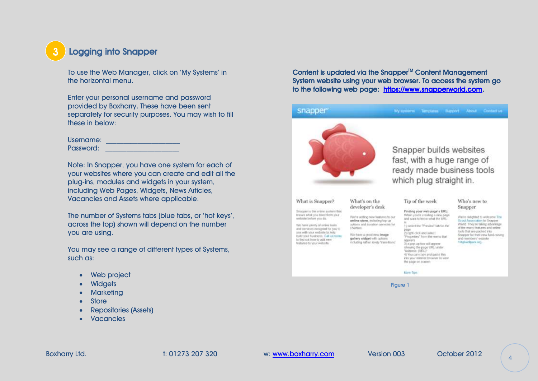## <span id="page-3-0"></span>Logging into Snapper

To use the Web Manager, click on 'My Systems' in the horizontal menu.

Enter your personal username and password provided by Boxharry. These have been sent separately for security purposes. You may wish to fill these in below:

| Username: |  |
|-----------|--|
| Password: |  |

Note: In Snapper, you have one system for each of your websites where you can create and edit all the plug-ins, modules and widgets in your system, including Web Pages, Widgets, News Articles, Vacancies and Assets where applicable.

The number of Systems tabs (blue tabs, or 'hot keys', across the top) shown will depend on the number you are using.

You may see a range of different types of Systems, such as:

- Web project
- **Widgets**
- **Marketing**
- Store
- Repositories (Assets)
- Vacancies

Content is updated via the Snapper<sup>M</sup> Content Management System website using your web browser. To access the system go to the following web page: [https://www.snapperworld.com.](https://www.snapperworld.com/)

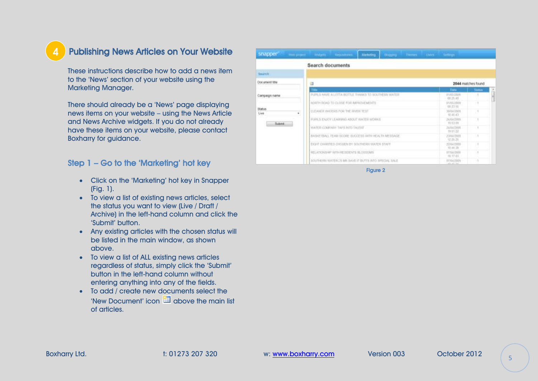### Publishing News Articles on Your Website

These instructions describe how to add a news item to the 'News' section of your website using the Marketing Manager.

There should already be a 'News' page displaying news items on your website – using the News Article and News Archive widgets. If you do not already have these items on your website, please contact Boxharry for guidance.

#### Step 1 – Go to the 'Marketing' hot key

- Click on the 'Marketing' hot key in Snapper (Fig. 1).
- To view a list of existing news articles, select the status you want to view (Live / Draft / Archive) in the left-hand column and click the 'Submit' button.
- Any existing articles with the chosen status will be listed in the main window, as shown above.
- To view a list of ALL existing news articles regardless of status, simply click the 'Submit' button in the left-hand column without entering anything into any of the fields.
- To add / create new documents select the 'New Document' icon  $\Box$  above the main list of articles.

| snapper<br><b>Colorado Listener P</b> | Watgets step among<br><b>Marketing</b><br><b>PRODUCED</b>   | There I there tellings     |               |
|---------------------------------------|-------------------------------------------------------------|----------------------------|---------------|
|                                       | Search documents                                            |                            |               |
| <b>Swaren</b>                         |                                                             |                            |               |
| Document title                        |                                                             | 2044 matches found         |               |
|                                       | <b>TEM</b>                                                  | <b>Thata</b>               | <b>Skatus</b> |
| Carricagn name                        | PUPIL'S HAVE A LOTTA BOTTLE THANKS TO SOUTHERN WATER        | 81/05/2826<br>03:25:415    |               |
| <b>Status</b>                         | NORTH ROAD TO CLOSE FOR APROVEMENTS.                        | 91/05/2009<br>01:37.10     |               |
| Live                                  | CLEANER VOLTERS FOR THE RIVER TEST.<br>٠                    | 300411009<br>12, 31, 43    |               |
| Sabint.                               | FUELS ENDY LEARNING ABOUT WATER WORKS.                      | 26/04/2009<br>19:53.DO     |               |
|                                       | WATER COMPANY TAPS INTO TALENT                              | 24/04/2001<br>19:51.22     |               |
|                                       | BASKETBALL TEAM SCORE BUCCESS WITH HEALTH MESSAGE.          | 23/04/2009<br>12:25:26     | - 1           |
|                                       | EXIVE CHARITIES CHOSEN BY SOUTHERN WATER STAFF              | ENAUTOOS<br>12.44.39       | . .           |
|                                       | RELATION/MP WITH RESERVITS BLOSSYMAL                        | ST/04/2109<br>19, 17, 05   |               |
|                                       | SANT JACOTTE COMPETENT STANDARD IN RESIDENCE IN A REPORT OF | mnud 7009<br>Links & Links |               |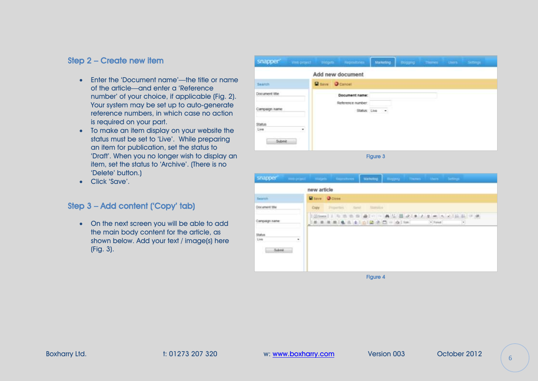#### Step 2 – Create new item

- Enter the 'Document name'—the title or name of the article—and enter a 'Reference number' of your choice, if applicable (Fig. 2). Your system may be set up to auto-generate reference numbers, in which case no action is required on your part.
- To make an item display on your website the status must be set to 'Live'. While preparing an item for publication, set the status to 'Draft'. When you no longer wish to display an item, set the status to 'Archive'. (There is no 'Delete' button.)
- Click 'Save'.

#### Step 3 – Add content ('Copy' tab)

• On the next screen you will be able to add the main body content for the article, as shown below. Add your text / image(s) here (Fig. 3).

| Snapper" visit project " vidgets " Repeations     |                                     |                            | Matering Rogers Theres there serves |  |  |
|---------------------------------------------------|-------------------------------------|----------------------------|-------------------------------------|--|--|
|                                                   | Add new document                    |                            |                                     |  |  |
| Search                                            | <b>B</b> tave O Cancel              |                            |                                     |  |  |
| Document title                                    | Document name:<br>Reference number: |                            |                                     |  |  |
| Campaign name                                     |                                     | Status; Live $\rightarrow$ |                                     |  |  |
| Status<br>Live<br>$\blacksquare$<br>---<br>Submit |                                     |                            |                                     |  |  |

Figure 3

|                    | new article                                                                                                                                                                              |
|--------------------|------------------------------------------------------------------------------------------------------------------------------------------------------------------------------------------|
| Search             | History Diction                                                                                                                                                                          |
| Document title     | <b>Standard</b><br>2 Important<br>1. Sand<br>Crain                                                                                                                                       |
| Campaign name:     | (2) bare   1 号 图 图 图 画   一 典 层 图 2   图 / 页 # · × ×   区 图 》 类<br>  新 第 第 第 第 第 4   6   2 2 四 一 点   100<br>e Tone<br>$\label{eq:1} \begin{bmatrix} \mathbf{u} \\ \mathbf{v} \end{bmatrix}$ |
| Status.            |                                                                                                                                                                                          |
| Live<br>٠<br>Sabme |                                                                                                                                                                                          |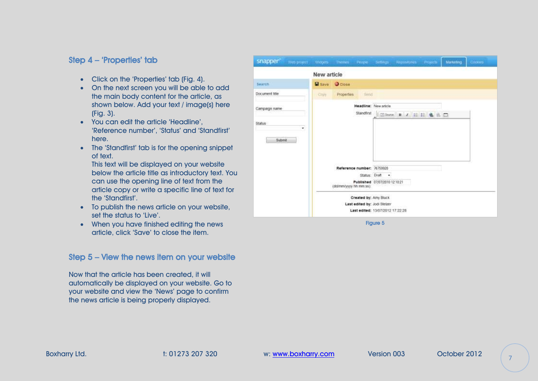#### Step 4 – 'Properties' tab

- Click on the 'Properties' tab (Fig. 4).
- On the next screen you will be able to add the main body content for the article, as shown below. Add your text / image(s) here (Fig. 3).
- You can edit the article 'Headline', 'Reference number', 'Status' and 'Standfirst' here.
- The 'Standfirst' tab is for the opening snippet of text.

This text will be displayed on your website below the article title as introductory text. You can use the opening line of text from the article copy or write a specific line of text for the 'Standfirst'.

- To publish the news article on your website, set the status to 'Live'
- When you have finished editing the news article, click 'Save' to close the item.

#### Step 5 – View the news item on your website

Now that the article has been created, it will automatically be displayed on your website. Go to your website and view the 'News' page to confirm the news article is being properly displayed.

| snapper <sup>®</sup> |   |               |                        |                            |                                  | Web project Woolets Themes People Settings Reportunes Projects Marketing |  | <b>Cookes</b> |
|----------------------|---|---------------|------------------------|----------------------------|----------------------------------|--------------------------------------------------------------------------|--|---------------|
|                      |   | New article   |                        |                            |                                  |                                                                          |  |               |
| Saarch               |   | <b>W</b> save | <b>O</b> Close         |                            |                                  |                                                                          |  |               |
| Document title       |   | <b>GITERY</b> |                        | Properties tiend           |                                  |                                                                          |  |               |
| Campaign name        |   |               |                        |                            | Headline: New article            |                                                                          |  |               |
| <b>Status</b>        | ٠ |               |                        |                            |                                  |                                                                          |  |               |
| Submit               |   |               |                        |                            |                                  |                                                                          |  |               |
|                      |   |               |                        |                            |                                  |                                                                          |  |               |
|                      |   |               |                        | Reference number: 76759928 |                                  |                                                                          |  |               |
|                      |   |               |                        |                            | Status: Draft +                  |                                                                          |  |               |
|                      |   |               | (dd/mn/yyyy hh mm ss). |                            | Published 07/07/2010 12:10:21    |                                                                          |  |               |
|                      |   |               |                        |                            | Created by: Amy Bluck            |                                                                          |  |               |
|                      |   |               |                        |                            | Last edited by: Jodi Stelzer     |                                                                          |  |               |
|                      |   |               |                        |                            | Last edited: 13/07/2012 17:22:28 |                                                                          |  |               |